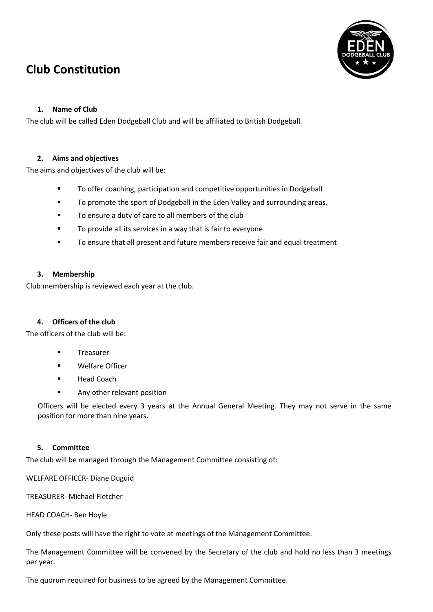# **Club Constitution**



# **1. Name of Club**

The club will be called Eden Dodgeball Club and will be affiliated to British Dodgeball.

## **2. Aims and objectives**

The aims and objectives of the club will be:

- **TO offer coaching, participation and competitive opportunities in Dodgeball**
- **TO promote the sport of Dodgeball in the Eden Valley and surrounding areas.**
- To ensure a duty of care to all members of the club
- **To provide all its services in a way that is fair to everyone**
- To ensure that all present and future members receive fair and equal treatment

## **3. Membership**

Club membership is reviewed each year at the club.

## **4. Officers of the club**

The officers of the club will be:

- **Treasurer**
- Welfare Officer
- Head Coach
- Any other relevant position

Officers will be elected every 3 years at the Annual General Meeting. They may not serve in the same position for more than nine years.

## **5. Committee**

The club will be managed through the Management Committee consisting of:

WELFARE OFFICER- Diane Duguid

TREASURER- Michael Fletcher

HEAD COACH- Ben Hoyle

Only these posts will have the right to vote at meetings of the Management Committee.

The Management Committee will be convened by the Secretary of the club and hold no less than 3 meetings per year.

The quorum required for business to be agreed by the Management Committee.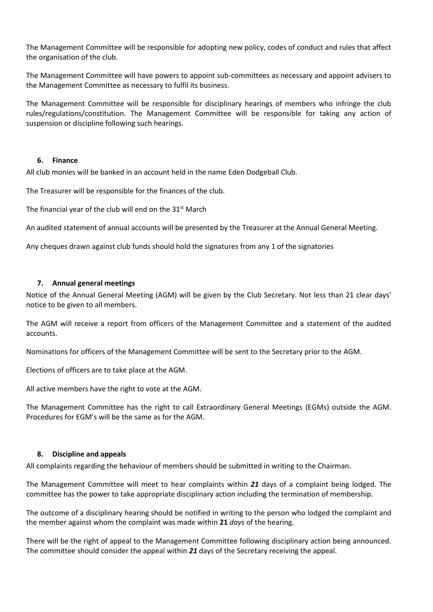The Management Committee will be responsible for adopting new policy, codes of conduct and rules that affect the organisation of the club.

The Management Committee will have powers to appoint sub-committees as necessary and appoint advisers to the Management Committee as necessary to fulfil its business.

The Management Committee will be responsible for disciplinary hearings of members who infringe the club rules/regulations/constitution. The Management Committee will be responsible for taking any action of suspension or discipline following such hearings.

## **6. Finance**

All club monies will be banked in an account held in the name Eden Dodgeball Club.

The Treasurer will be responsible for the finances of the club.

The financial year of the club will end on the  $31<sup>st</sup>$  March

An audited statement of annual accounts will be presented by the Treasurer at the Annual General Meeting.

Any cheques drawn against club funds should hold the signatures from any 1 of the signatories

### **7. Annual general meetings**

Notice of the Annual General Meeting (AGM) will be given by the Club Secretary. Not less than 21 clear days' notice to be given to all members.

The AGM will receive a report from officers of the Management Committee and a statement of the audited accounts.

Nominations for officers of the Management Committee will be sent to the Secretary prior to the AGM.

Elections of officers are to take place at the AGM.

All active members have the right to vote at the AGM.

The Management Committee has the right to call Extraordinary General Meetings (EGMs) outside the AGM. Procedures for EGM's will be the same as for the AGM.

### **8. Discipline and appeals**

All complaints regarding the behaviour of members should be submitted in writing to the Chairman.

The Management Committee will meet to hear complaints within *21* days of a complaint being lodged. The committee has the power to take appropriate disciplinary action including the termination of membership.

The outcome of a disciplinary hearing should be notified in writing to the person who lodged the complaint and the member against whom the complaint was made within **21** *days* of the hearing.

There will be the right of appeal to the Management Committee following disciplinary action being announced. The committee should consider the appeal within *21* days of the Secretary receiving the appeal.